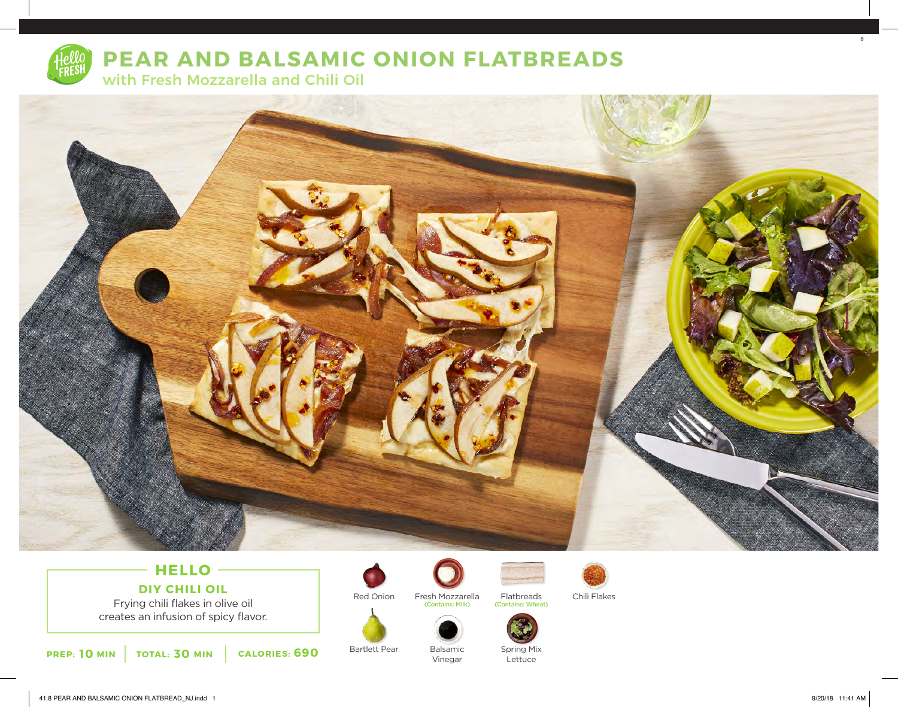

# **PEAR AND BALSAMIC ONION FLATBREADS**

with Fresh Mozzarella and Chili Oil



# **HELLO DIY CHILI OIL**

Frying chili flakes in olive oil creates an infusion of spicy flavor.

**10** MIN | TOTAL: 30 MIN | CALORIES: 690

Bartlett Pear

Red Onion

![](_page_0_Picture_8.jpeg)

Fresh Mozzarella Flatbreads Chili Flakes<br>
Contains: Milk) (Contains: Wheat)

Balsamic Vinegar

![](_page_0_Picture_10.jpeg)

![](_page_0_Picture_12.jpeg)

![](_page_0_Picture_14.jpeg)

Spring Mix **Lettuce** 

Flatbreads

(Contains: Wheat)

8